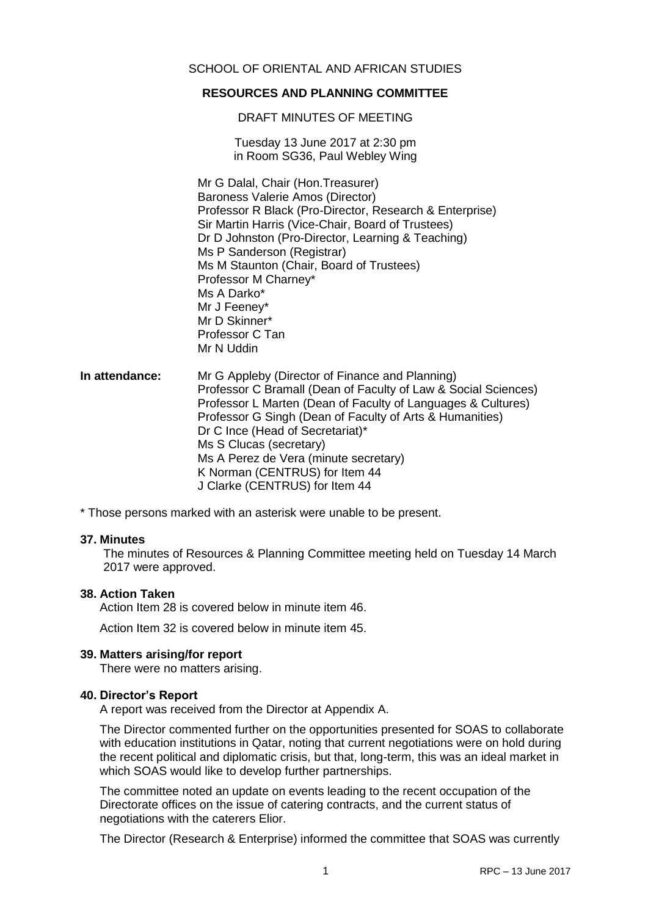# **RESOURCES AND PLANNING COMMITTEE**

DRAFT MINUTES OF MEETING

Tuesday 13 June 2017 at 2:30 pm in Room SG36, Paul Webley Wing

Mr G Dalal, Chair (Hon.Treasurer) Baroness Valerie Amos (Director) Professor R Black (Pro-Director, Research & Enterprise) Sir Martin Harris (Vice-Chair, Board of Trustees) Dr D Johnston (Pro-Director, Learning & Teaching) Ms P Sanderson (Registrar) Ms M Staunton (Chair, Board of Trustees) Professor M Charney\* Ms A Darko\* Mr J Feeney\* Mr D Skinner\* Professor C Tan Mr N Uddin

**In attendance:** Mr G Appleby (Director of Finance and Planning) Professor C Bramall (Dean of Faculty of Law & Social Sciences) Professor L Marten (Dean of Faculty of Languages & Cultures) Professor G Singh (Dean of Faculty of Arts & Humanities) Dr C Ince (Head of Secretariat)\* Ms S Clucas (secretary) Ms A Perez de Vera (minute secretary) K Norman (CENTRUS) for Item 44 J Clarke (CENTRUS) for Item 44

\* Those persons marked with an asterisk were unable to be present.

#### **37. Minutes**

The minutes of Resources & Planning Committee meeting held on Tuesday 14 March 2017 were approved.

#### **38. Action Taken**

Action Item 28 is covered below in minute item 46.

Action Item 32 is covered below in minute item 45.

#### **39. Matters arising/for report**

There were no matters arising.

#### **40. Director's Report**

A report was received from the Director at Appendix A.

The Director commented further on the opportunities presented for SOAS to collaborate with education institutions in Qatar, noting that current negotiations were on hold during the recent political and diplomatic crisis, but that, long-term, this was an ideal market in which SOAS would like to develop further partnerships.

The committee noted an update on events leading to the recent occupation of the Directorate offices on the issue of catering contracts, and the current status of negotiations with the caterers Elior.

The Director (Research & Enterprise) informed the committee that SOAS was currently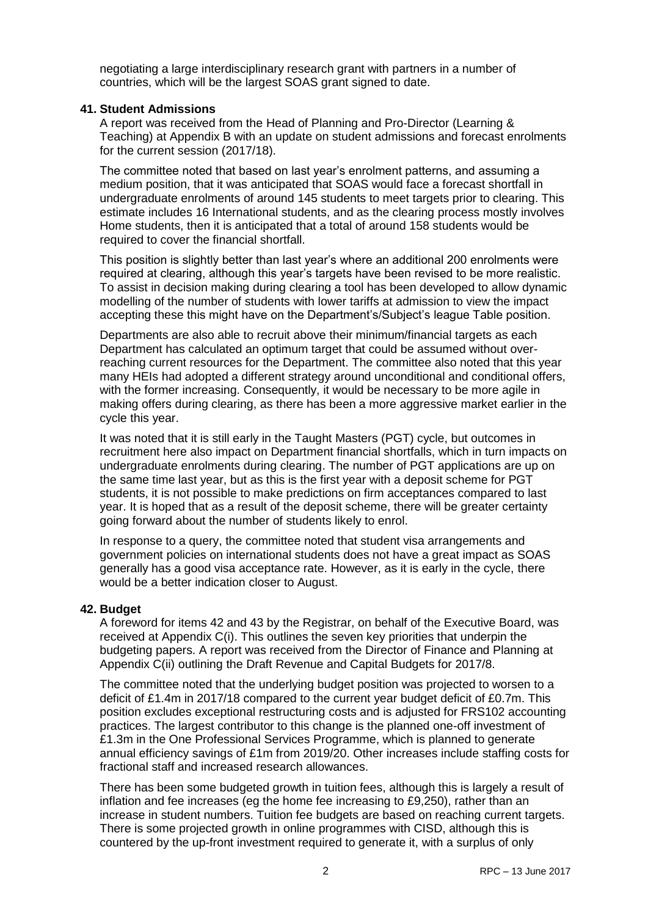negotiating a large interdisciplinary research grant with partners in a number of countries, which will be the largest SOAS grant signed to date.

# **41. Student Admissions**

A report was received from the Head of Planning and Pro-Director (Learning & Teaching) at Appendix B with an update on student admissions and forecast enrolments for the current session (2017/18).

The committee noted that based on last year's enrolment patterns, and assuming a medium position, that it was anticipated that SOAS would face a forecast shortfall in undergraduate enrolments of around 145 students to meet targets prior to clearing. This estimate includes 16 International students, and as the clearing process mostly involves Home students, then it is anticipated that a total of around 158 students would be required to cover the financial shortfall.

This position is slightly better than last year's where an additional 200 enrolments were required at clearing, although this year's targets have been revised to be more realistic. To assist in decision making during clearing a tool has been developed to allow dynamic modelling of the number of students with lower tariffs at admission to view the impact accepting these this might have on the Department's/Subject's league Table position.

Departments are also able to recruit above their minimum/financial targets as each Department has calculated an optimum target that could be assumed without overreaching current resources for the Department. The committee also noted that this year many HEIs had adopted a different strategy around unconditional and conditional offers, with the former increasing. Consequently, it would be necessary to be more agile in making offers during clearing, as there has been a more aggressive market earlier in the cycle this year.

It was noted that it is still early in the Taught Masters (PGT) cycle, but outcomes in recruitment here also impact on Department financial shortfalls, which in turn impacts on undergraduate enrolments during clearing. The number of PGT applications are up on the same time last year, but as this is the first year with a deposit scheme for PGT students, it is not possible to make predictions on firm acceptances compared to last year. It is hoped that as a result of the deposit scheme, there will be greater certainty going forward about the number of students likely to enrol.

In response to a query, the committee noted that student visa arrangements and government policies on international students does not have a great impact as SOAS generally has a good visa acceptance rate. However, as it is early in the cycle, there would be a better indication closer to August.

# **42. Budget**

A foreword for items 42 and 43 by the Registrar, on behalf of the Executive Board, was received at Appendix C(i). This outlines the seven key priorities that underpin the budgeting papers. A report was received from the Director of Finance and Planning at Appendix C(ii) outlining the Draft Revenue and Capital Budgets for 2017/8.

The committee noted that the underlying budget position was projected to worsen to a deficit of £1.4m in 2017/18 compared to the current year budget deficit of £0.7m. This position excludes exceptional restructuring costs and is adjusted for FRS102 accounting practices. The largest contributor to this change is the planned one-off investment of £1.3m in the One Professional Services Programme, which is planned to generate annual efficiency savings of £1m from 2019/20. Other increases include staffing costs for fractional staff and increased research allowances.

There has been some budgeted growth in tuition fees, although this is largely a result of inflation and fee increases (eg the home fee increasing to £9,250), rather than an increase in student numbers. Tuition fee budgets are based on reaching current targets. There is some projected growth in online programmes with CISD, although this is countered by the up-front investment required to generate it, with a surplus of only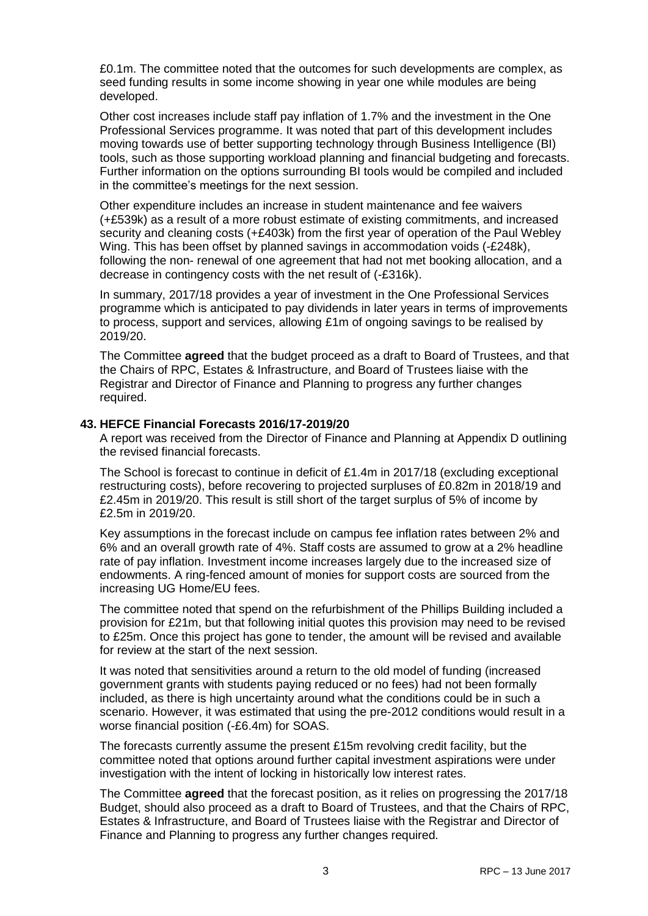£0.1m. The committee noted that the outcomes for such developments are complex, as seed funding results in some income showing in year one while modules are being developed.

Other cost increases include staff pay inflation of 1.7% and the investment in the One Professional Services programme. It was noted that part of this development includes moving towards use of better supporting technology through Business Intelligence (BI) tools, such as those supporting workload planning and financial budgeting and forecasts. Further information on the options surrounding BI tools would be compiled and included in the committee's meetings for the next session.

Other expenditure includes an increase in student maintenance and fee waivers (+£539k) as a result of a more robust estimate of existing commitments, and increased security and cleaning costs (+£403k) from the first year of operation of the Paul Webley Wing. This has been offset by planned savings in accommodation voids (-£248k), following the non- renewal of one agreement that had not met booking allocation, and a decrease in contingency costs with the net result of (-£316k).

In summary, 2017/18 provides a year of investment in the One Professional Services programme which is anticipated to pay dividends in later years in terms of improvements to process, support and services, allowing £1m of ongoing savings to be realised by 2019/20.

The Committee **agreed** that the budget proceed as a draft to Board of Trustees, and that the Chairs of RPC, Estates & Infrastructure, and Board of Trustees liaise with the Registrar and Director of Finance and Planning to progress any further changes required.

## **43. HEFCE Financial Forecasts 2016/17-2019/20**

A report was received from the Director of Finance and Planning at Appendix D outlining the revised financial forecasts.

The School is forecast to continue in deficit of £1.4m in 2017/18 (excluding exceptional restructuring costs), before recovering to projected surpluses of £0.82m in 2018/19 and £2.45m in 2019/20. This result is still short of the target surplus of 5% of income by £2.5m in 2019/20.

Key assumptions in the forecast include on campus fee inflation rates between 2% and 6% and an overall growth rate of 4%. Staff costs are assumed to grow at a 2% headline rate of pay inflation. Investment income increases largely due to the increased size of endowments. A ring-fenced amount of monies for support costs are sourced from the increasing UG Home/EU fees.

The committee noted that spend on the refurbishment of the Phillips Building included a provision for £21m, but that following initial quotes this provision may need to be revised to £25m. Once this project has gone to tender, the amount will be revised and available for review at the start of the next session.

It was noted that sensitivities around a return to the old model of funding (increased government grants with students paying reduced or no fees) had not been formally included, as there is high uncertainty around what the conditions could be in such a scenario. However, it was estimated that using the pre-2012 conditions would result in a worse financial position (-£6.4m) for SOAS.

The forecasts currently assume the present £15m revolving credit facility, but the committee noted that options around further capital investment aspirations were under investigation with the intent of locking in historically low interest rates.

The Committee **agreed** that the forecast position, as it relies on progressing the 2017/18 Budget, should also proceed as a draft to Board of Trustees, and that the Chairs of RPC, Estates & Infrastructure, and Board of Trustees liaise with the Registrar and Director of Finance and Planning to progress any further changes required.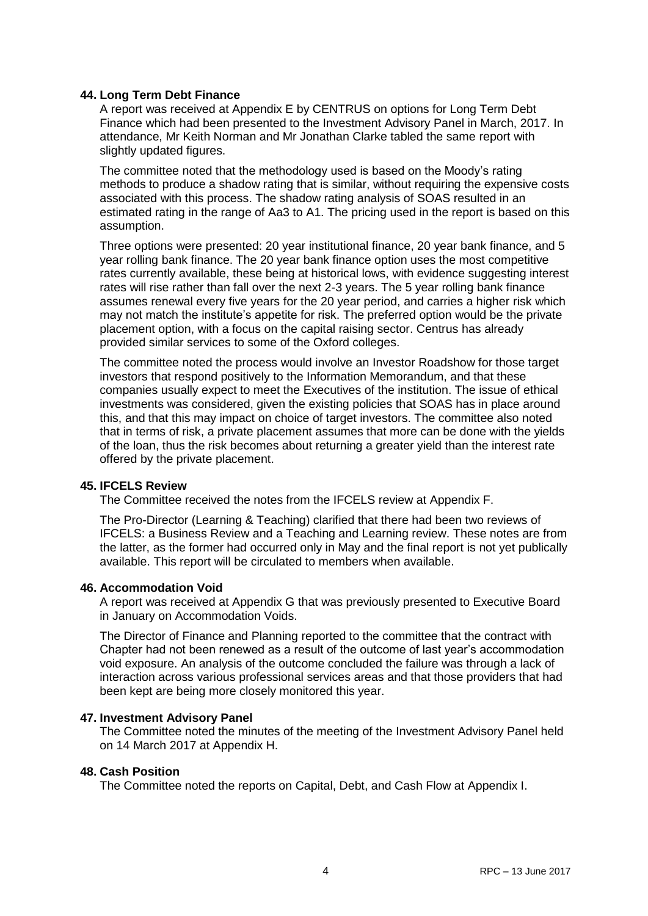### **44. Long Term Debt Finance**

A report was received at Appendix E by CENTRUS on options for Long Term Debt Finance which had been presented to the Investment Advisory Panel in March, 2017. In attendance, Mr Keith Norman and Mr Jonathan Clarke tabled the same report with slightly updated figures.

The committee noted that the methodology used is based on the Moody's rating methods to produce a shadow rating that is similar, without requiring the expensive costs associated with this process. The shadow rating analysis of SOAS resulted in an estimated rating in the range of Aa3 to A1. The pricing used in the report is based on this assumption.

Three options were presented: 20 year institutional finance, 20 year bank finance, and 5 year rolling bank finance. The 20 year bank finance option uses the most competitive rates currently available, these being at historical lows, with evidence suggesting interest rates will rise rather than fall over the next 2-3 years. The 5 year rolling bank finance assumes renewal every five years for the 20 year period, and carries a higher risk which may not match the institute's appetite for risk. The preferred option would be the private placement option, with a focus on the capital raising sector. Centrus has already provided similar services to some of the Oxford colleges.

The committee noted the process would involve an Investor Roadshow for those target investors that respond positively to the Information Memorandum, and that these companies usually expect to meet the Executives of the institution. The issue of ethical investments was considered, given the existing policies that SOAS has in place around this, and that this may impact on choice of target investors. The committee also noted that in terms of risk, a private placement assumes that more can be done with the yields of the loan, thus the risk becomes about returning a greater yield than the interest rate offered by the private placement.

#### **45. IFCELS Review**

The Committee received the notes from the IFCELS review at Appendix F.

The Pro-Director (Learning & Teaching) clarified that there had been two reviews of IFCELS: a Business Review and a Teaching and Learning review. These notes are from the latter, as the former had occurred only in May and the final report is not yet publically available. This report will be circulated to members when available.

#### **46. Accommodation Void**

A report was received at Appendix G that was previously presented to Executive Board in January on Accommodation Voids.

The Director of Finance and Planning reported to the committee that the contract with Chapter had not been renewed as a result of the outcome of last year's accommodation void exposure. An analysis of the outcome concluded the failure was through a lack of interaction across various professional services areas and that those providers that had been kept are being more closely monitored this year.

#### **47. Investment Advisory Panel**

The Committee noted the minutes of the meeting of the Investment Advisory Panel held on 14 March 2017 at Appendix H.

#### **48. Cash Position**

The Committee noted the reports on Capital, Debt, and Cash Flow at Appendix I.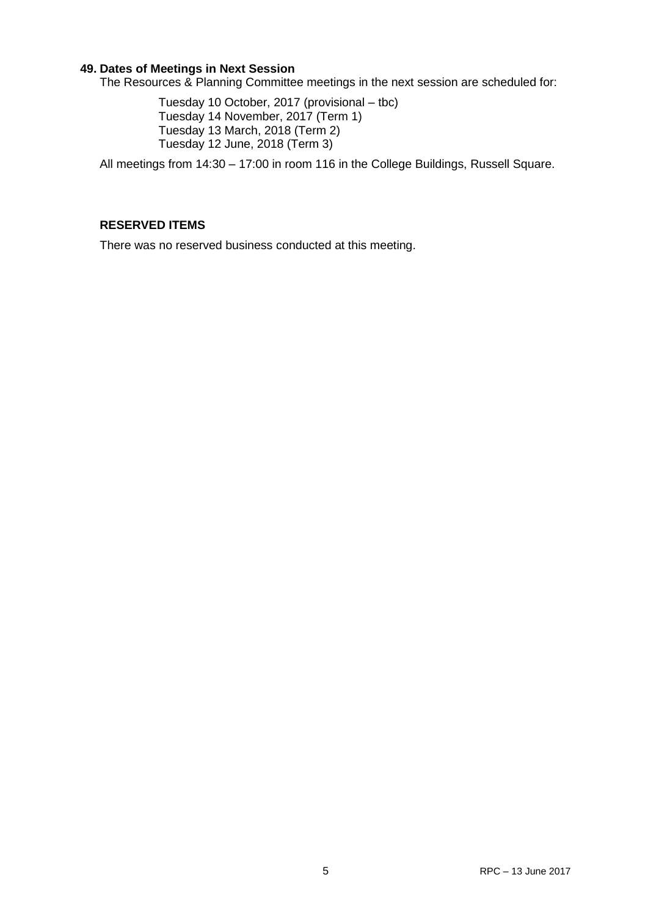## **49. Dates of Meetings in Next Session**

The Resources & Planning Committee meetings in the next session are scheduled for:

Tuesday 10 October, 2017 (provisional – tbc) Tuesday 14 November, 2017 (Term 1) Tuesday 13 March, 2018 (Term 2) Tuesday 12 June, 2018 (Term 3)

All meetings from 14:30 – 17:00 in room 116 in the College Buildings, Russell Square.

# **RESERVED ITEMS**

There was no reserved business conducted at this meeting.